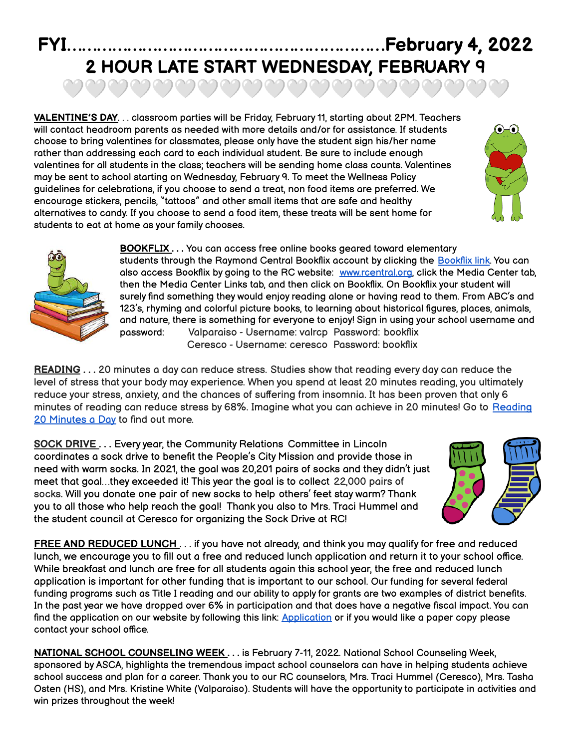## **FYI………………………………………………………February 4, 2022 2 HOUR LATE START WEDNESDAY, FEBRUARY 9** ಅವವವವವವವವವವವವವವವವ

**VALENTINE'S DAY**. . . classroom parties will be Friday, February 11, starting about 2PM. Teachers will contact headroom parents as needed with more details and/or for assistance. If students choose to bring valentines for classmates, please only have the student sign his/her name rather than addressing each card to each individual student. Be sure to include enough valentines for all students in the class; teachers will be sending home class counts. Valentines may be sent to school starting on Wednesday, February 9. To meet the Wellness Policy guidelines for celebrations, if you choose to send a treat, non food items are preferred. We encourage stickers, pencils, "tattoos" and other small items that are safe and healthy alternatives to candy. If you choose to send a food item, these treats will be sent home for students to eat at home as your family chooses.





**BOOKFLIX . . .** You can access free online books geared toward elementary students through the Raymond Central [Bookflix](https://bookflix.digital.scholastic.com/home?authCtx=U.600011581) account by clicking the Bookflix link. You can also access Bookflix by going to the RC website: [www.rcentral.org](http://www.rcentral.org), click the Media Center tab, then the Media Center Links tab, and then click on Bookflix. On Bookflix your student will surely find something they would enjoy reading alone or having read to them. From ABC's and 123's, rhyming and colorful picture books, to learning about historical figures, places, animals, and nature, there is something for everyone to enjoy! Sign in using your school username and password: Valparaiso - Username: valrcp Password: bookflix Ceresco - Username: ceresco Password: bookflix

**READING . . .** 20 minutes a day can reduce stress. Studies show that reading every day can reduce the level of stress that your body may experience. When you spend at least 20 minutes reading, you ultimately reduce your stress, anxiety, and the chances of suffering from insomnia. It has been proven that only 6 minutes of reading can reduce stress by 68%. Imagine what you can achieve in 20 minutes! Go to [Reading](https://basmo.app/reading-20-minutes-a-day/) 20 [Minutes](https://basmo.app/reading-20-minutes-a-day/) a Day to find out more.

**SOCK DRIVE . . .** Every year, the Community Relations Committee in Lincoln coordinates a sock drive to benefit the People's City Mission and provide those in need with warm socks. In 2021, the goal was 20,201 pairs of socks and they didn't just meet that goal…they exceeded it! This year the goal is to collect 22,000 pairs of socks. Will you donate one pair of new socks to help others' feet stay warm? Thank you to all those who help reach the goal! Thank you also to Mrs. Traci Hummel and the student council at Ceresco for organizing the Sock Drive at RC!



**FREE AND REDUCED LUNCH** . . . if you have not already, and think you may qualify for free and reduced lunch, we encourage you to fill out a free and reduced lunch application and return it to your school office. While breakfast and lunch are free for all students again this school year, the free and reduced lunch application is important for other funding that is important to our school. Our funding for several federal funding programs such as Title I reading and our ability to apply for grants are two examples of district benefits. In the past year we have dropped over 6% in participation and that does have a negative fiscal impact. You can find the application on our website by following this link: [Application](https://www.rcentral.org/vimages/shared/vnews/stories/610823256345e/Free%20&%20Reduced%20Lunch%20Application%202021-2022.pdf) or if you would like a paper copy please contact your school office.

**NATIONAL SCHOOL COUNSELING WEEK . . .** is February 7-11, 2022. National School Counseling Week, sponsored by ASCA, highlights the tremendous impact school counselors can have in helping students achieve school success and plan for a career. Thank you to our RC counselors, Mrs. Traci Hummel (Ceresco), Mrs. Tasha Osten (HS), and Mrs. Kristine White (Valparaiso). Students will have the opportunity to participate in activities and win prizes throughout the week!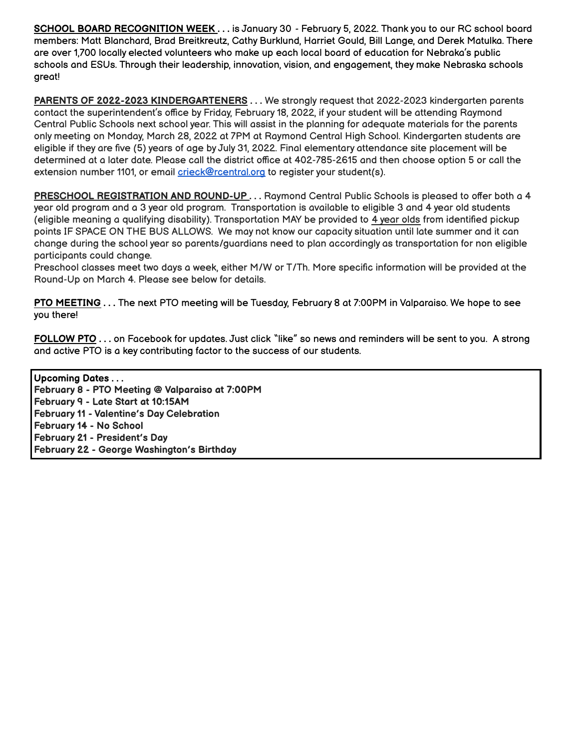**SCHOOL BOARD RECOGNITION WEEK . . .** is January 30 - February 5, 2022. Thank you to our RC school board members: Matt Blanchard, Brad Breitkreutz, Cathy Burklund, Harriet Gould, Bill Lange, and Derek Matulka. There are over 1,700 locally elected volunteers who make up each local board of education for Nebraka's public schools and ESUs. Through their leadership, innovation, vision, and engagement, they make Nebraska schools great!

**PARENTS OF 2022-2023 KINDERGARTENERS . . .** We strongly request that 2022-2023 kindergarten parents contact the superintendent's office by Friday, February 18, 2022, if your student will be attending Raymond Central Public Schools next school year. This will assist in the planning for adequate materials for the parents only meeting on Monday, March 28, 2022 at 7PM at Raymond Central High School. Kindergarten students are eligible if they are five (5) years of age by July 31, 2022. Final elementary attendance site placement will be determined at a later date. Please call the district office at 402-785-2615 and then choose option 5 or call the extension number 1101, or email crieck@rcentral.org to register your student(s).

**PRESCHOOL REGISTRATION AND ROUND-UP . . .** Raymond Central Public Schools is pleased to offer both a 4 year old program and a 3 year old program. Transportation is available to eligible 3 and 4 year old students (eligible meaning a qualifying disability). Transportation MAY be provided to 4 year olds from identified pickup points IF SPACE ON THE BUS ALLOWS. We may not know our capacity situation until late summer and it can change during the school year so parents/guardians need to plan accordingly as transportation for non eligible participants could change.

Preschool classes meet two days a week, either M/W or T/Th. More specific information will be provided at the Round-Up on March 4. Please see below for details.

**PTO MEETING . . .** The next PTO meeting will be Tuesday, February 8 at 7:00PM in Valparaiso. We hope to see you there!

**FOLLOW PTO . . .** on Facebook for updates. Just click "like" so news and reminders will be sent to you. A strong and active PTO is a key contributing factor to the success of our students.

**Upcoming Dates . . . February 8 - PTO Meeting @ Valparaiso at 7:00PM February 9 - Late Start at 10:15AM February 11 - Valentine's Day Celebration February 14 - No School February 21 - President's Day February 22 - George Washington's Birthday**